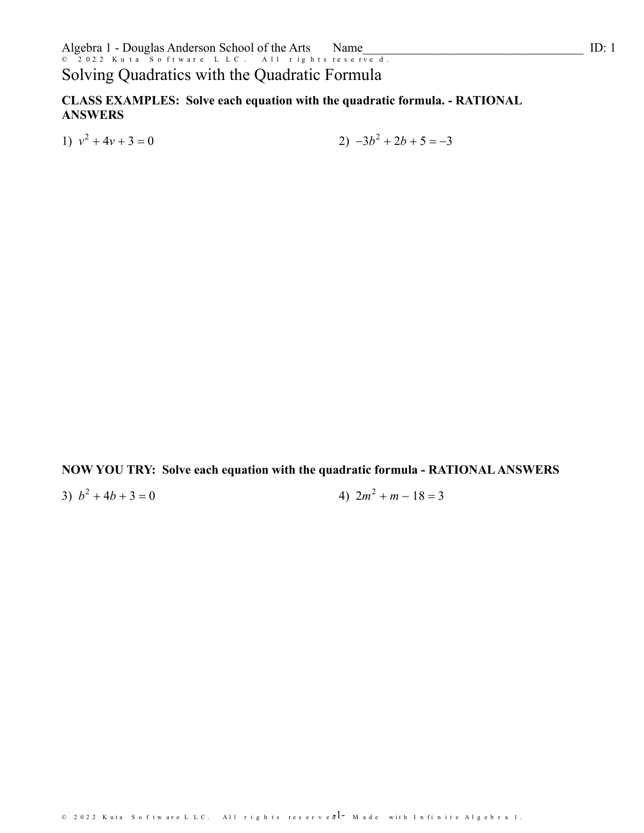## Solving Quadratics with the Quadratic Formula

CLASS EXAMPLES: Solve each equation with the quadratic formula. - RATIONAL **ANSWERS** 

1)  $v^2 + 4v + 3 = 0$ 

 $2) -3b^2 + 2b + 5 = -3$ 

NOW YOU TRY: Solve each equation with the quadratic formula - RATIONAL ANSWERS

3)  $b^2 + 4b + 3 = 0$ 4)  $2m^2 + m - 18 = 3$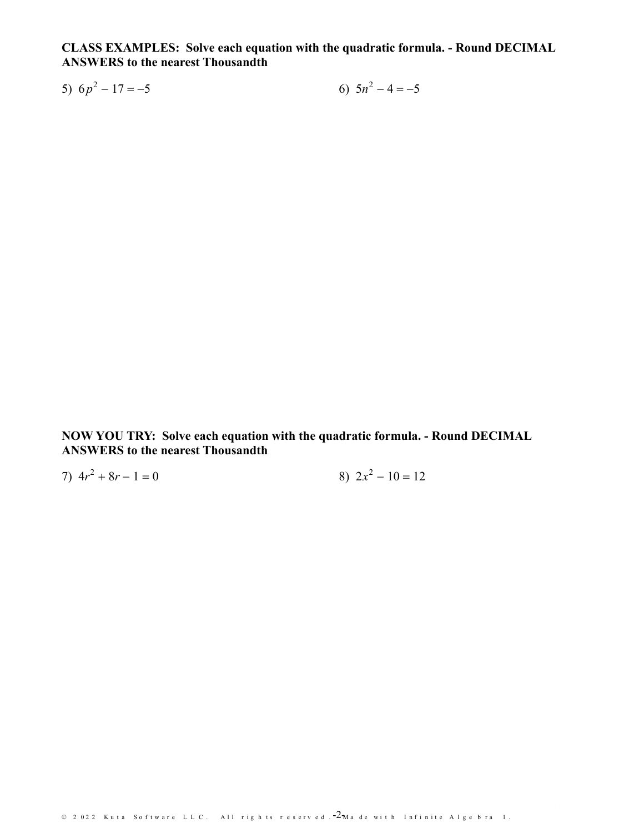CLASS EXAMPLES: Solve each equation with the quadratic formula. - Round DECIMAL **ANSWERS to the nearest Thousandth** 

6)  $5n^2 - 4 = -5$ 5)  $6p^2 - 17 = -5$ 

NOW YOU TRY: Solve each equation with the quadratic formula. - Round DECIMAL **ANSWERS to the nearest Thousandth** 

8)  $2x^2 - 10 = 12$ 7)  $4r^2 + 8r - 1 = 0$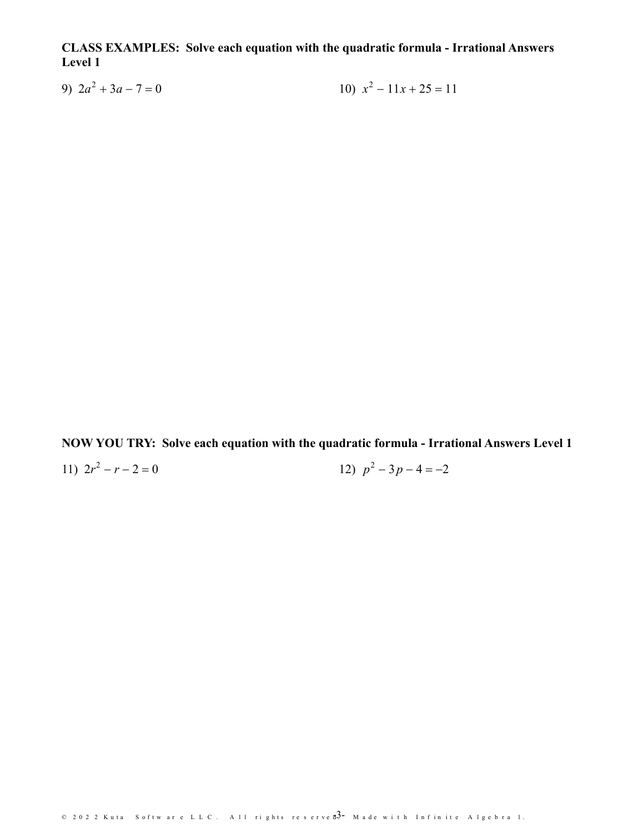CLASS EXAMPLES: Solve each equation with the quadratic formula - Irrational Answers Level 1

9)  $2a^2 + 3a - 7 = 0$ 10)  $x^2 - 11x + 25 = 11$ 

NOW YOU TRY: Solve each equation with the quadratic formula - Irrational Answers Level 1

12)  $p^2 - 3p - 4 = -2$ 

11)  $2r^2 - r - 2 = 0$ 

© 2022 Kuta Software LLC. All rights reserved $\overline{3}$ -Made with Infinite Algebra 1.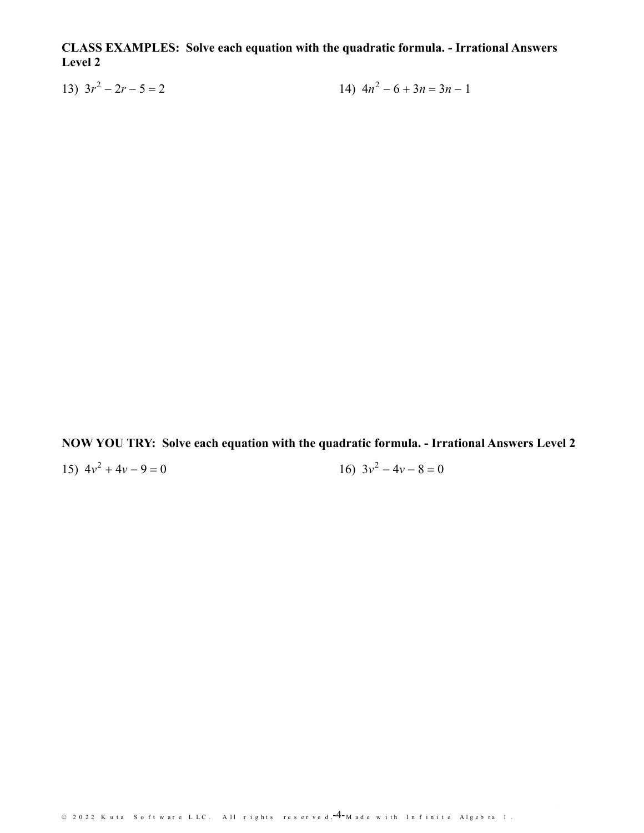CLASS EXAMPLES: Solve each equation with the quadratic formula. - Irrational Answers Level 2

14)  $4n^2 - 6 + 3n = 3n - 1$ 13)  $3r^2 - 2r - 5 = 2$ 

NOW YOU TRY: Solve each equation with the quadratic formula. - Irrational Answers Level 2

15)  $4v^2 + 4v - 9 = 0$ 

16)  $3v^2 - 4v - 8 = 0$ 

© 2022 Kuta Software LLC. All rights reserved.<sup>-4</sup>-Made with Infinite Algebra 1.